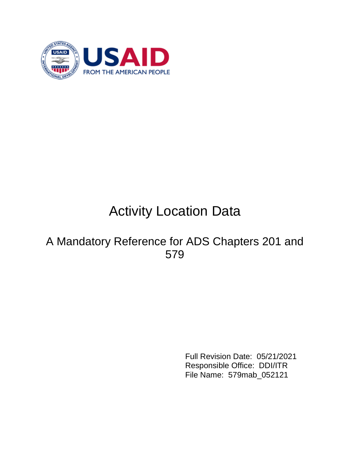

# Activity Location Data

# A Mandatory Reference for ADS Chapters 201 and 579

Full Revision Date: 05/21/2021 Responsible Office: DDI/ITR File Name: 579mab\_052121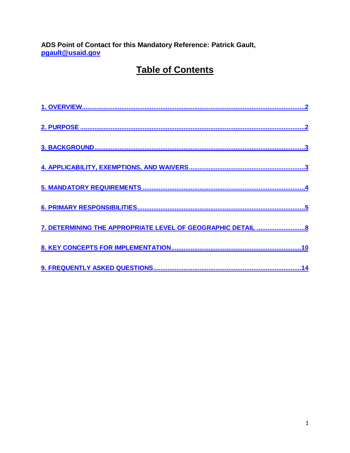ADS Point of Contact for this Mandatory Reference: Patrick Gault, pgault@usaid.gov

# **Table of Contents**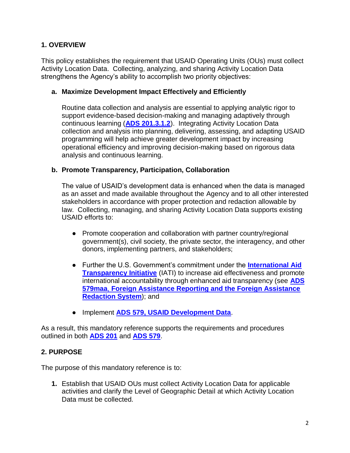# <span id="page-2-0"></span>**1. OVERVIEW**

This policy establishes the requirement that USAID Operating Units (OUs) must collect Activity Location Data. Collecting, analyzing, and sharing Activity Location Data strengthens the Agency's ability to accomplish two priority objectives:

# **a. Maximize Development Impact Effectively and Efficiently**

Routine data collection and analysis are essential to applying analytic rigor to support evidence-based decision-making and managing adaptively through continuous learning (**[ADS 201.3.1.2](https://www.usaid.gov/ads/policy/200/201)**). Integrating Activity Location Data collection and analysis into planning, delivering, assessing, and adapting USAID programming will help achieve greater development impact by increasing operational efficiency and improving decision-making based on rigorous data analysis and continuous learning.

### **b. Promote Transparency, Participation, Collaboration**

The value of USAID's development data is enhanced when the data is managed as an asset and made available throughout the Agency and to all other interested stakeholders in accordance with proper protection and redaction allowable by law. Collecting, managing, and sharing Activity Location Data supports existing USAID efforts to:

- Promote cooperation and collaboration with partner country/regional government(s), civil society, the private sector, the interagency, and other donors, implementing partners, and stakeholders;
- Further the U.S. Government's commitment under the **[International Aid](https://www.aidtransparency.net/)  [Transparency Initiative](https://www.aidtransparency.net/)** (IATI) to increase aid effectiveness and promote international accountability through enhanced aid transparency (see **[ADS](https://www.usaid.gov/ads/policy/500/579maa)  [579maa](https://www.usaid.gov/ads/policy/500/579maa)**[,](https://www.usaid.gov/ads/policy/500/579maa) **[Foreign Assistance Reporting and the Foreign Assistance](https://www.usaid.gov/ads/policy/500/579maa)  [Redaction System](https://www.usaid.gov/ads/policy/500/579maa)**); and
- Implement **ADS [579, USAID Development Data](https://www.usaid.gov/ads/policy/500/579)**.

As a result, this mandatory reference supports the requirements and procedures outlined in both **[ADS 201](https://www.usaid.gov/ads/policy/200/201)** and **[ADS 579](https://www.usaid.gov/ads/policy/500/579)**.

# <span id="page-2-1"></span>**2. PURPOSE**

The purpose of this mandatory reference is to:

**1.** Establish that USAID OUs must collect Activity Location Data for applicable activities and clarify the Level of Geographic Detail at which Activity Location Data must be collected.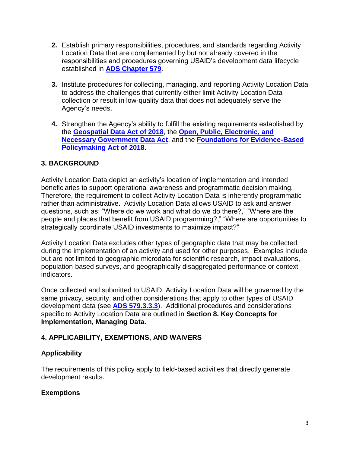- **2.** Establish primary responsibilities, procedures, and standards regarding Activity Location Data that are complemented by but not already covered in the responsibilities and procedures governing USAID's development data lifecycle established in **[ADS Chapter 579](https://www.usaid.gov/ads/policy/500/579)**.
- **3.** Institute procedures for collecting, managing, and reporting Activity Location Data to address the challenges that currently either limit Activity Location Data collection or result in low-quality data that does not adequately serve the Agency's needs.
- **4.** Strengthen the Agency's ability to fulfill the existing requirements established by the **[Geospatial Data Act of 2018](https://www.fgdc.gov/gda)**, the **[Open, Public, Electronic, and](https://www.congress.gov/bill/115th-congress/senate-bill/760)  [Necessary Government Data Act](https://www.congress.gov/bill/115th-congress/senate-bill/760)**, and the **[Foundations for Evidence-Based](https://www.congress.gov/bill/115th-congress/house-bill/4174)  [Policymaking Act of 2018](https://www.congress.gov/bill/115th-congress/house-bill/4174)**.

# <span id="page-3-0"></span>**3. BACKGROUND**

Activity Location Data depict an activity's location of implementation and intended beneficiaries to support operational awareness and programmatic decision making. Therefore, the requirement to collect Activity Location Data is inherently programmatic rather than administrative. Activity Location Data allows USAID to ask and answer questions, such as: "Where do we work and what do we do there?," "Where are the people and places that benefit from USAID programming?," "Where are opportunities to strategically coordinate USAID investments to maximize impact?"

Activity Location Data excludes other types of geographic data that may be collected during the implementation of an activity and used for other purposes. Examples include but are not limited to geographic microdata for scientific research, impact evaluations, population-based surveys, and geographically disaggregated performance or context indicators.

Once collected and submitted to USAID, Activity Location Data will be governed by the same privacy, security, and other considerations that apply to other types of USAID development data (see **[ADS 579.3.3.3](https://www.usaid.gov/ads/policy/500/579)**). Additional procedures and considerations specific to Activity Location Data are outlined in **Section 8. Key Concepts for Implementation, Managing Data**.

# <span id="page-3-1"></span>**4. APPLICABILITY, EXEMPTIONS, AND WAIVERS**

# **Applicability**

The requirements of this policy apply to field-based activities that directly generate development results.

# **Exemptions**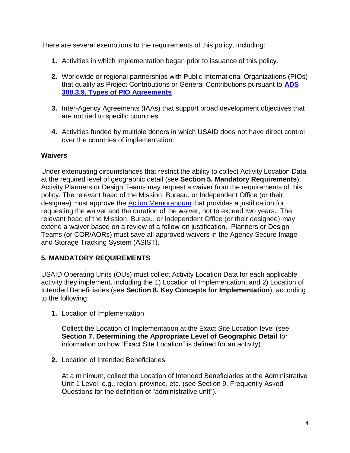There are several exemptions to the requirements of this policy, including:

- **1.** Activities in which implementation began prior to issuance of this policy.
- **2.** Worldwide or regional partnerships with Public International Organizations (PIOs) that qualify as Project Contributions or General Contributions pursuant to **[ADS](http://www.usaid.gov/ads/policy/300/308)  [308.3.9, Types of PIO Agreements](http://www.usaid.gov/ads/policy/300/308)**.
- **3.** Inter-Agency Agreements (IAAs) that support broad development objectives that are not tied to specific countries.
- **4.** Activities funded by multiple donors in which USAID does not have direct control over the countries of implementation.

### **Waivers**

Under extenuating circumstances that restrict the ability to collect Activity Location Data at the required level of geographic detail (see **Section 5. Mandatory Requirements**), Activity Planners or Design Teams may request a waiver from the requirements of this policy. The relevant head of the Mission, Bureau, or Independent Office (or their designee) must approve the [Action Memorandum](http://www.usaid.gov/ads/policy/500/579sac) that provides a justification for requesting the waiver and the duration of the waiver, not to exceed two years. The relevant head of the Mission, Bureau, or Independent Office (or their designee) may extend a waiver based on a review of a follow-on justification. Planners or Design Teams (or COR/AORs) must save all approved waivers in the Agency Secure Image and Storage Tracking System (ASIST).

# <span id="page-4-0"></span>**5. MANDATORY REQUIREMENTS**

USAID Operating Units (OUs) must collect Activity Location Data for each applicable activity they implement, including the 1) Location of Implementation; and 2) Location of Intended Beneficiaries (see **Section 8. Key Concepts for Implementation**), according to the following:

**1.** Location of Implementation

Collect the Location of Implementation at the Exact Site Location level (see **Section 7. Determining the Appropriate Level of Geographic Detail** for information on how "Exact Site Location" is defined for an activity).

**2.** Location of Intended Beneficiaries

At a minimum, collect the Location of Intended Beneficiaries at the Administrative Unit 1 Level, e.g., region, province, etc. (see Section 9. Frequently Asked Questions for the definition of "administrative unit").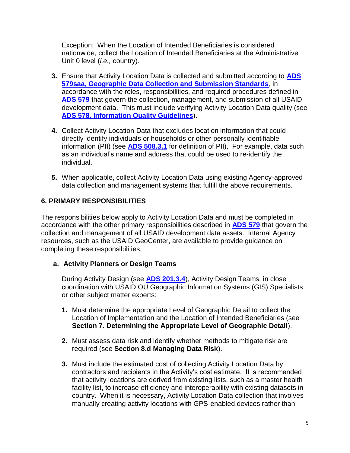Exception: When the Location of Intended Beneficiaries is considered nationwide, collect the Location of Intended Beneficiaries at the Administrative Unit 0 level (*i.e.,* country).

- **3.** Ensure that Activity Location Data is collected and submitted according to **[ADS](http://www.usaid.gov/ads/policy/500/579saa)  [579saa, Geographic Data Collection and Submission Standards](http://www.usaid.gov/ads/policy/500/579saa)**, in accordance with the roles, responsibilities, and required procedures defined in **[ADS 579](https://www.usaid.gov/ads/policy/500/579)** that govern the collection, management, and submission of all USAID development data. This must include verifying Activity Location Data quality (see **[ADS 578, Information Quality Guidelines](https://www.usaid.gov/ads/policy/500/578)**).
- **4.** Collect Activity Location Data that excludes location information that could directly identify individuals or households or other personally identifiable information (PII) (see **[ADS 508.3.1](https://www.usaid.gov/ads/policy/500/508)** for definition of PII). For example, data such as an individual's name and address that could be used to re-identify the individual.
- **5.** When applicable, collect Activity Location Data using existing Agency-approved data collection and management systems that fulfill the above requirements.

# <span id="page-5-0"></span>**6. PRIMARY RESPONSIBILITIES**

The responsibilities below apply to Activity Location Data and must be completed in accordance with the other primary responsibilities described in **[ADS 579](https://www.usaid.gov/ads/policy/500/579)** that govern the collection and management of all USAID development data assets. Internal Agency resources, such as the USAID GeoCenter, are available to provide guidance on completing these responsibilities.

# **a. Activity Planners or Design Teams**

During Activity Design (see **[ADS 201.3.4](https://www.usaid.gov/ads/policy/200/201)**), Activity Design Teams, in close coordination with USAID OU Geographic Information Systems (GIS) Specialists or other subject matter experts:

- **1.** Must determine the appropriate Level of Geographic Detail to collect the Location of Implementation and the Location of Intended Beneficiaries (see **Section 7. Determining the Appropriate Level of Geographic Detail**).
- **2.** Must assess data risk and identify whether methods to mitigate risk are required (see **Section 8.d [Managing Data Risk](#page-12-0)**).
- **3.** Must include the estimated cost of collecting Activity Location Data by contractors and recipients in the Activity's cost estimate. It is recommended that activity locations are derived from existing lists, such as a master health facility list, to increase efficiency and interoperability with existing datasets incountry. When it is necessary, Activity Location Data collection that involves manually creating activity locations with GPS-enabled devices rather than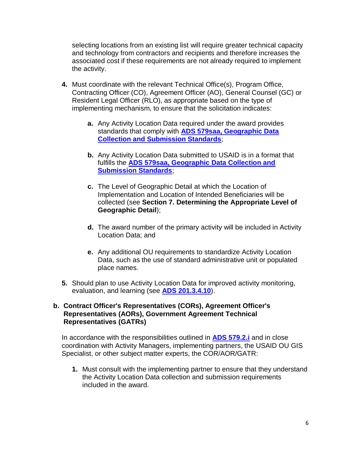selecting locations from an existing list will require greater technical capacity and technology from contractors and recipients and therefore increases the associated cost if these requirements are not already required to implement the activity.

- **4.** Must coordinate with the relevant Technical Office(s), Program Office, Contracting Officer (CO), Agreement Officer (AO), General Counsel (GC) or Resident Legal Officer (RLO), as appropriate based on the type of implementing mechanism, to ensure that the solicitation indicates:
	- **a.** Any Activity Location Data required under the award provides standards that comply with **[ADS 579saa, Geographic Data](http://www.usaid.gov/ads/policy/500/579saa)  [Collection and Submission Standards](http://www.usaid.gov/ads/policy/500/579saa)**;
	- **b.** Any Activity Location Data submitted to USAID is in a format that fulfills the **[ADS 579saa, Geographic Data Collection and](http://www.usaid.gov/ads/policy/500/579saa)  [Submission Standards](http://www.usaid.gov/ads/policy/500/579saa)**;
	- **c.** The Level of Geographic Detail at which the Location of Implementation and Location of Intended Beneficiaries will be collected (see **Section 7. Determining the Appropriate Level of Geographic Detail**);
	- **d.** The award number of the primary activity will be included in Activity Location Data; and
	- **e.** Any additional OU requirements to standardize Activity Location Data, such as the use of standard administrative unit or populated place names.
- **5.** Should plan to use Activity Location Data for improved activity monitoring, evaluation, and learning (see **[ADS 201.3.4.10](https://www.usaid.gov/ads/policy/200/201)**).

#### **b. Contract Officer's Representatives (CORs), Agreement Officer's Representatives (AORs), Government Agreement Technical Representatives (GATRs)**

In accordance with the responsibilities outlined in **[ADS 579.2.i](https://www.usaid.gov/ads/policy/500/579)** and in close coordination with Activity Managers, implementing partners, the USAID OU GIS Specialist, or other subject matter experts, the COR/AOR/GATR:

**1.** Must consult with the implementing partner to ensure that they understand the Activity Location Data collection and submission requirements included in the award.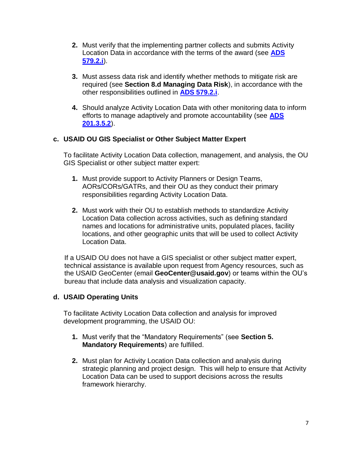- **2.** Must verify that the implementing partner collects and submits Activity Location Data in accordance with the terms of the award (see **[ADS](https://www.usaid.gov/ads/policy/500/579)  [579.2.i](https://www.usaid.gov/ads/policy/500/579)**).
- **3.** Must assess data risk and identify whether methods to mitigate risk are required (see **Section 8.d Managing Data Risk**), in accordance with the other responsibilities outlined in **[ADS 579.2.i](https://www.usaid.gov/ads/policy/500/579)**.
- **4.** Should analyze Activity Location Data with other monitoring data to inform efforts to manage adaptively and promote accountability (see **[ADS](https://www.usaid.gov/ads/policy/200/201)  [201.3.5.2](https://www.usaid.gov/ads/policy/200/201)**).

# **c. USAID OU GIS Specialist or Other Subject Matter Expert**

To facilitate Activity Location Data collection, management, and analysis, the OU GIS Specialist or other subject matter expert:

- **1.** Must provide support to Activity Planners or Design Teams, AORs/CORs/GATRs, and their OU as they conduct their primary responsibilities regarding Activity Location Data.
- **2.** Must work with their OU to establish methods to standardize Activity Location Data collection across activities, such as defining standard names and locations for administrative units, populated places, facility locations, and other geographic units that will be used to collect Activity Location Data.

If a USAID OU does not have a GIS specialist or other subject matter expert, technical assistance is available upon request from Agency resources, such as the USAID GeoCenter (email **GeoCenter@usaid.gov**) or teams within the OU's bureau that include data analysis and visualization capacity.

# **d. USAID Operating Units**

To facilitate Activity Location Data collection and analysis for improved development programming, the USAID OU:

- **1.** Must verify that the "Mandatory Requirements" (see **Section 5. Mandatory Requirements**) are fulfilled.
- **2.** Must plan for Activity Location Data collection and analysis during strategic planning and project design. This will help to ensure that Activity Location Data can be used to support decisions across the results framework hierarchy.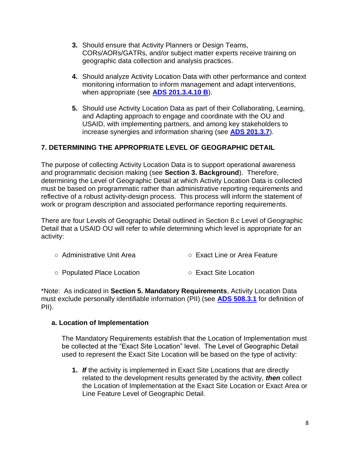- **3.** Should ensure that Activity Planners or Design Teams, CORs/AORs/GATRs, and/or subject matter experts receive training on geographic data collection and analysis practices.
- **4.** Should analyze Activity Location Data with other performance and context monitoring information to inform management and adapt interventions, when appropriate (see **[ADS 201.3.4.10 B](https://www.usaid.gov/ads/policy/200/201)**).
- **5.** Should use Activity Location Data as part of their Collaborating, Learning, and Adapting approach to engage and coordinate with the OU and USAID, with implementing partners, and among key stakeholders to increase synergies and information sharing (see **[ADS 201.3.7](https://www.usaid.gov/ads/policy/200/201)**).

# <span id="page-8-0"></span>**7. DETERMINING THE APPROPRIATE LEVEL OF GEOGRAPHIC DETAIL**

The purpose of collecting Activity Location Data is to support operational awareness and programmatic decision making (see **Section 3. Background**). Therefore, determining the Level of Geographic Detail at which Activity Location Data is collected must be based on programmatic rather than administrative reporting requirements and reflective of a robust activity-design process. This process will inform the statement of work or program description and associated performance reporting requirements.

There are four Levels of Geographic Detail outlined in Section 8.c Level of Geographic Detail that a USAID OU will refer to while determining which level is appropriate for an activity:

- Administrative Unit Area <br>○ Exact Line or Area Feature
- Populated Place Location <br>○ Exact Site Location

\*Note: As indicated in **Section 5. Mandatory Requirements**, Activity Location Data must exclude personally identifiable information (PII) (see **[ADS 508.3.1](https://www.usaid.gov/ads/policy/500/508)** for definition of PII).

#### **a. Location of Implementation**

The Mandatory Requirements establish that the Location of Implementation must be collected at the "Exact Site Location" level. The Level of Geographic Detail used to represent the Exact Site Location will be based on the type of activity:

**1.** *If* the activity is implemented in Exact Site Locations that are directly related to the development results generated by the activity, *then* collect the Location of Implementation at the Exact Site Location or Exact Area or Line Feature Level of Geographic Detail.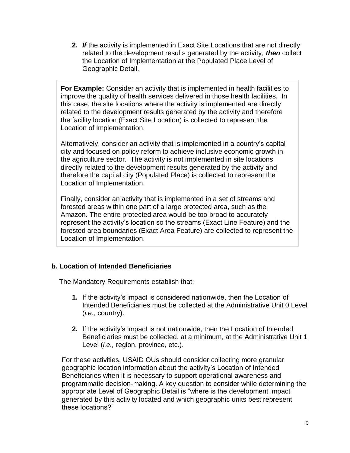**2.** *If* the activity is implemented in Exact Site Locations that are not directly related to the development results generated by the activity, *then* collect the Location of Implementation at the Populated Place Level of Geographic Detail.

**For Example:** Consider an activity that is implemented in health facilities to improve the quality of health services delivered in those health facilities. In this case, the site locations where the activity is implemented are directly related to the development results generated by the activity and therefore the facility location (Exact Site Location) is collected to represent the Location of Implementation.

Alternatively, consider an activity that is implemented in a country's capital city and focused on policy reform to achieve inclusive economic growth in the agriculture sector. The activity is not implemented in site locations directly related to the development results generated by the activity and therefore the capital city (Populated Place) is collected to represent the Location of Implementation.

Finally, consider an activity that is implemented in a set of streams and forested areas within one part of a large protected area, such as the Amazon. The entire protected area would be too broad to accurately represent the activity's location so the streams (Exact Line Feature) and the forested area boundaries (Exact Area Feature) are collected to represent the Location of Implementation.

# **b. Location of Intended Beneficiaries**

The Mandatory Requirements establish that:

- **1.** If the activity's impact is considered nationwide, then the Location of Intended Beneficiaries must be collected at the Administrative Unit 0 Level (*i.e.,* country).
- **2.** If the activity's impact is not nationwide, then the Location of Intended Beneficiaries must be collected, at a minimum, at the Administrative Unit 1 Level (*i.e.,* region, province, etc.).

For these activities, USAID OUs should consider collecting more granular geographic location information about the activity's Location of Intended Beneficiaries when it is necessary to support operational awareness and programmatic decision-making. A key question to consider while determining the appropriate Level of Geographic Detail is "where is the development impact generated by this activity located and which geographic units best represent these locations?"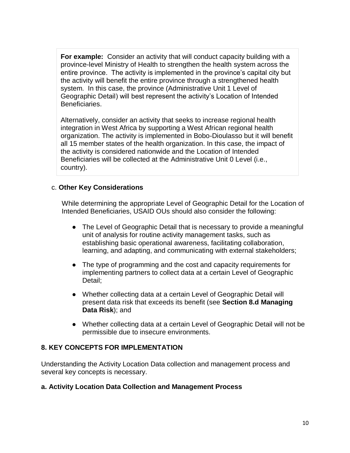**For example:** Consider an activity that will conduct capacity building with a province-level Ministry of Health to strengthen the health system across the entire province. The activity is implemented in the province's capital city but the activity will benefit the entire province through a strengthened health system. In this case, the province (Administrative Unit 1 Level of Geographic Detail) will best represent the activity's Location of Intended Beneficiaries.

Alternatively, consider an activity that seeks to increase regional health integration in West Africa by supporting a West African regional health organization. The activity is implemented in Bobo-Dioulasso but it will benefit all 15 member states of the health organization. In this case, the impact of the activity is considered nationwide and the Location of Intended Beneficiaries will be collected at the Administrative Unit 0 Level (i.e., country).

# c. **Other Key Considerations**

While determining the appropriate Level of Geographic Detail for the Location of Intended Beneficiaries, USAID OUs should also consider the following:

- The Level of Geographic Detail that is necessary to provide a meaningful unit of analysis for routine activity management tasks, such as establishing basic operational awareness, facilitating collaboration, learning, and adapting, and communicating with external stakeholders;
- The type of programming and the cost and capacity requirements for implementing partners to collect data at a certain Level of Geographic Detail;
- Whether collecting data at a certain Level of Geographic Detail will present data risk that exceeds its benefit (see **Section 8.d Managing Data Risk**); and
- Whether collecting data at a certain Level of Geographic Detail will not be permissible due to insecure environments.

# <span id="page-10-0"></span>**8. KEY CONCEPTS FOR IMPLEMENTATION**

Understanding the Activity Location Data collection and management process and several key concepts is necessary.

#### **a. Activity Location Data Collection and Management Process**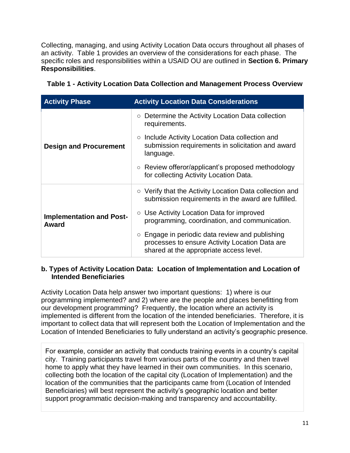Collecting, managing, and using Activity Location Data occurs throughout all phases of an activity. Table 1 provides an overview of the considerations for each phase. The specific roles and responsibilities within a USAID OU are outlined in **Section 6. Primary Responsibilities**.

| <b>Activity Phase</b>                    | <b>Activity Location Data Considerations</b>                                                                                                       |  |  |
|------------------------------------------|----------------------------------------------------------------------------------------------------------------------------------------------------|--|--|
| <b>Design and Procurement</b>            | Determine the Activity Location Data collection<br>$\circ$<br>requirements.                                                                        |  |  |
|                                          | $\circ$ Include Activity Location Data collection and<br>submission requirements in solicitation and award<br>language.                            |  |  |
|                                          | ○ Review offeror/applicant's proposed methodology<br>for collecting Activity Location Data.                                                        |  |  |
| <b>Implementation and Post-</b><br>Award | $\circ$ Verify that the Activity Location Data collection and<br>submission requirements in the award are fulfilled.                               |  |  |
|                                          | ○ Use Activity Location Data for improved<br>programming, coordination, and communication.                                                         |  |  |
|                                          | $\circ$ Engage in periodic data review and publishing<br>processes to ensure Activity Location Data are<br>shared at the appropriate access level. |  |  |

|  | Table 1 - Activity Location Data Collection and Management Process Overview |  |
|--|-----------------------------------------------------------------------------|--|

#### **b. Types of Activity Location Data: Location of Implementation and Location of Intended Beneficiaries**

Activity Location Data help answer two important questions: 1) where is our programming implemented? and 2) where are the people and places benefitting from our development programming? Frequently, the location where an activity is implemented is different from the location of the intended beneficiaries. Therefore, it is important to collect data that will represent both the Location of Implementation and the Location of Intended Beneficiaries to fully understand an activity's geographic presence.

For example, consider an activity that conducts training events in a country's capital city. Training participants travel from various parts of the country and then travel home to apply what they have learned in their own communities. In this scenario, collecting both the location of the capital city (Location of Implementation) and the location of the communities that the participants came from (Location of Intended Beneficiaries) will best represent the activity's geographic location and better support programmatic decision-making and transparency and accountability.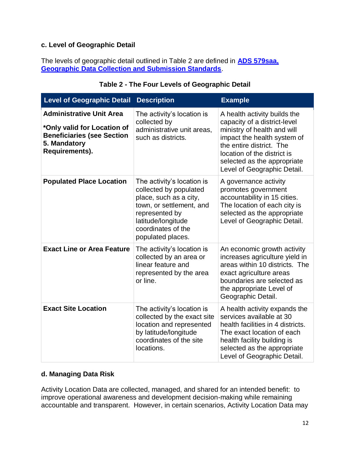# **c. Level of Geographic Detail**

The levels of geographic detail outlined in Table 2 are defined in **[ADS 579saa,](http://www.usaid.gov/ads/policy/500/579saa)  [Geographic Data Collection and Submission Standards](http://www.usaid.gov/ads/policy/500/579saa)**.

| <b>Level of Geographic Detail</b>                                                                                                     | <b>Description</b>                                                                                                                                                                            | <b>Example</b>                                                                                                                                                                                                                                      |
|---------------------------------------------------------------------------------------------------------------------------------------|-----------------------------------------------------------------------------------------------------------------------------------------------------------------------------------------------|-----------------------------------------------------------------------------------------------------------------------------------------------------------------------------------------------------------------------------------------------------|
| <b>Administrative Unit Area</b><br>*Only valid for Location of<br><b>Beneficiaries (see Section</b><br>5. Mandatory<br>Requirements). | The activity's location is<br>collected by<br>administrative unit areas,<br>such as districts.                                                                                                | A health activity builds the<br>capacity of a district-level<br>ministry of health and will<br>impact the health system of<br>the entire district. The<br>location of the district is<br>selected as the appropriate<br>Level of Geographic Detail. |
| <b>Populated Place Location</b>                                                                                                       | The activity's location is<br>collected by populated<br>place, such as a city,<br>town, or settlement, and<br>represented by<br>latitude/longitude<br>coordinates of the<br>populated places. | A governance activity<br>promotes government<br>accountability in 15 cities.<br>The location of each city is<br>selected as the appropriate<br>Level of Geographic Detail.                                                                          |
| <b>Exact Line or Area Feature</b>                                                                                                     | The activity's location is<br>collected by an area or<br>linear feature and<br>represented by the area<br>or line.                                                                            | An economic growth activity<br>increases agriculture yield in<br>areas within 10 districts. The<br>exact agriculture areas<br>boundaries are selected as<br>the appropriate Level of<br>Geographic Detail.                                          |
| <b>Exact Site Location</b>                                                                                                            | The activity's location is<br>collected by the exact site<br>location and represented<br>by latitude/longitude<br>coordinates of the site<br>locations.                                       | A health activity expands the<br>services available at 30<br>health facilities in 4 districts.<br>The exact location of each<br>health facility building is<br>selected as the appropriate<br>Level of Geographic Detail.                           |

# **Table 2 - The Four Levels of Geographic Detail**

# <span id="page-12-0"></span>**d. Managing Data Risk**

Activity Location Data are collected, managed, and shared for an intended benefit: to improve operational awareness and development decision-making while remaining accountable and transparent. However, in certain scenarios, Activity Location Data may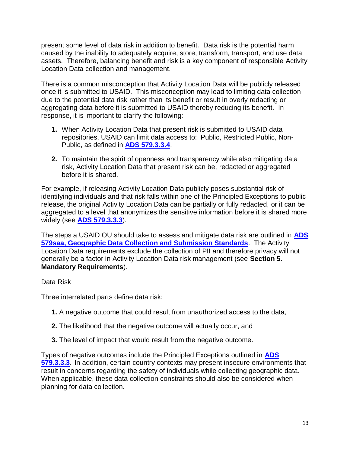present some level of data risk in addition to benefit*.* Data risk is the potential harm caused by the inability to adequately acquire, store, transform, transport, and use data assets. Therefore, balancing benefit and risk is a key component of responsible Activity Location Data collection and management.

There is a common misconception that Activity Location Data will be publicly released once it is submitted to USAID. This misconception may lead to limiting data collection due to the potential data risk rather than its benefit or result in overly redacting or aggregating data before it is submitted to USAID thereby reducing its benefit. In response, it is important to clarify the following:

- **1.** When Activity Location Data that present risk is submitted to USAID data repositories, USAID can limit data access to: Public, Restricted Public, Non-Public, as defined in **[ADS 579.3.3.4](https://www.usaid.gov/ads/policy/500/579)**.
- **2.** To maintain the spirit of openness and transparency while also mitigating data risk, Activity Location Data that present risk can be, redacted or aggregated before it is shared.

For example, if releasing Activity Location Data publicly poses substantial risk of identifying individuals and that risk falls within one of the Principled Exceptions to public release, the original Activity Location Data can be partially or fully redacted, or it can be aggregated to a level that anonymizes the sensitive information before it is shared more widely (see **[ADS 579.3.3.3](https://www.usaid.gov/ads/policy/500/579)**).

The steps a USAID OU should take to assess and mitigate data risk are outlined in **[ADS](http://www.usaid.gov/ads/policy/500/579saa)  [579saa, Geographic Data Collection and Submission Standards](http://www.usaid.gov/ads/policy/500/579saa)**. The Activity Location Data requirements exclude the collection of PII and therefore privacy will not generally be a factor in Activity Location Data risk management (see **Section 5. Mandatory Requirements**).

# Data Risk

Three interrelated parts define data risk:

- **1.** A negative outcome that could result from unauthorized access to the data,
- **2.** The likelihood that the negative outcome will actually occur, and
- **3.** The level of impact that would result from the negative outcome.

Types of negative outcomes include the Principled Exceptions outlined in **[ADS](http://www.usaid.gov/ads/policy/500/579)  [579.3.3.3](http://www.usaid.gov/ads/policy/500/579)**. In addition, certain country contexts may present insecure environments that result in concerns regarding the safety of individuals while collecting geographic data. When applicable, these data collection constraints should also be considered when planning for data collection.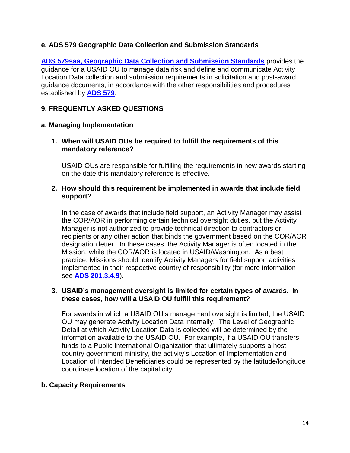# **e. ADS 579 Geographic Data Collection and Submission Standards**

**[ADS 579saa, Geographic Data Collection and Submission Standards](http://www.usaid.gov/ads/policy/500/579saa)** provides the guidance for a USAID OU to manage data risk and define and communicate Activity Location Data collection and submission requirements in solicitation and post-award guidance documents, in accordance with the other responsibilities and procedures established by **[ADS 579](https://www.usaid.gov/ads/policy/500/579)**.

# <span id="page-14-0"></span>**9. FREQUENTLY ASKED QUESTIONS**

#### **a. Managing Implementation**

#### **1. When will USAID OUs be required to fulfill the requirements of this mandatory reference?**

USAID OUs are responsible for fulfilling the requirements in new awards starting on the date this mandatory reference is effective.

#### **2. How should this requirement be implemented in awards that include field support?**

In the case of awards that include field support, an Activity Manager may assist the COR/AOR in performing certain technical oversight duties, but the Activity Manager is not authorized to provide technical direction to contractors or recipients or any other action that binds the government based on the COR/AOR designation letter. In these cases, the Activity Manager is often located in the Mission, while the COR/AOR is located in USAID/Washington. As a best practice, Missions should identify Activity Managers for field support activities implemented in their respective country of responsibility (for more information see **[ADS 201.3.4.9](https://www.usaid.gov/ads/policy/200/201)**).

#### **3. USAID's management oversight is limited for certain types of awards. In these cases, how will a USAID OU fulfill this requirement?**

For awards in which a USAID OU's management oversight is limited, the USAID OU may generate Activity Location Data internally. The Level of Geographic Detail at which Activity Location Data is collected will be determined by the information available to the USAID OU. For example, if a USAID OU transfers funds to a Public International Organization that ultimately supports a hostcountry government ministry, the activity's Location of Implementation and Location of Intended Beneficiaries could be represented by the latitude/longitude coordinate location of the capital city.

#### **b. Capacity Requirements**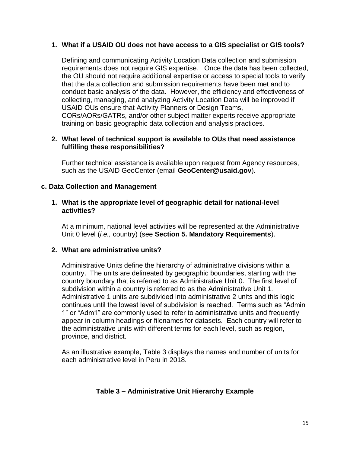### **1. What if a USAID OU does not have access to a GIS specialist or GIS tools?**

Defining and communicating Activity Location Data collection and submission requirements does not require GIS expertise. Once the data has been collected, the OU should not require additional expertise or access to special tools to verify that the data collection and submission requirements have been met and to conduct basic analysis of the data. However, the efficiency and effectiveness of collecting, managing, and analyzing Activity Location Data will be improved if USAID OUs ensure that Activity Planners or Design Teams, CORs/AORs/GATRs, and/or other subject matter experts receive appropriate training on basic geographic data collection and analysis practices.

#### **2. What level of technical support is available to OUs that need assistance fulfilling these responsibilities?**

Further technical assistance is available upon request from Agency resources, such as the USAID GeoCenter (email **GeoCenter@usaid.gov**).

#### **c. Data Collection and Management**

#### **1. What is the appropriate level of geographic detail for national-level activities?**

At a minimum, national level activities will be represented at the Administrative Unit 0 level (*i.e.,* country) (see **Section 5. Mandatory Requirements**).

#### **2. What are administrative units?**

Administrative Units define the hierarchy of administrative divisions within a country. The units are delineated by geographic boundaries, starting with the country boundary that is referred to as Administrative Unit 0. The first level of subdivision within a country is referred to as the Administrative Unit 1. Administrative 1 units are subdivided into administrative 2 units and this logic continues until the lowest level of subdivision is reached. Terms such as "Admin 1" or "Adm1" are commonly used to refer to administrative units and frequently appear in column headings or filenames for datasets. Each country will refer to the administrative units with different terms for each level, such as region, province, and district.

As an illustrative example, Table 3 displays the names and number of units for each administrative level in Peru in 2018.

# **Table 3 – Administrative Unit Hierarchy Example**